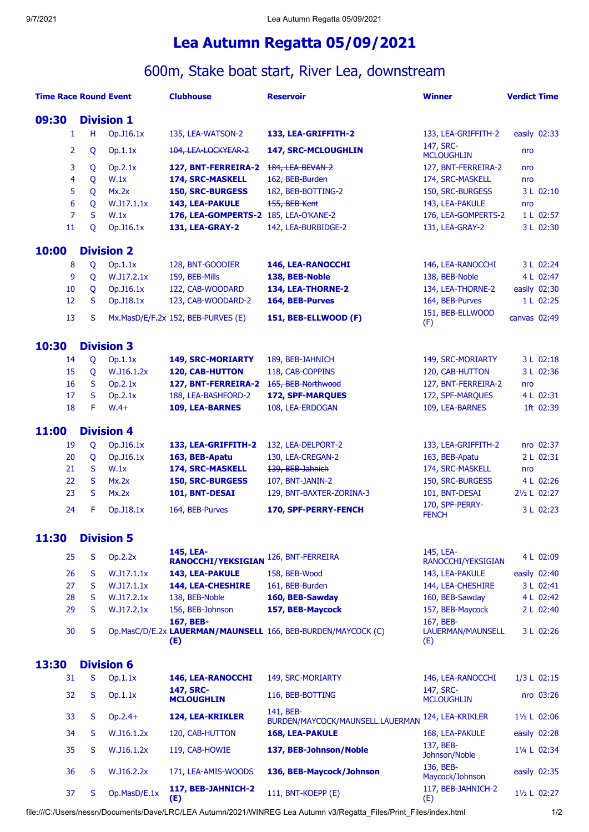## **Lea Autumn Regatta 05/09/2021**

## 600m, Stake boat start, River Lea, downstream

| <b>Time Race Round Event</b> |   |                   | <b>Clubhouse</b>                       | <b>Reservoir</b>                                             | <b>Winner</b>                         | <b>Verdict Time</b> |              |
|------------------------------|---|-------------------|----------------------------------------|--------------------------------------------------------------|---------------------------------------|---------------------|--------------|
| 09:30<br><b>Division 1</b>   |   |                   |                                        |                                                              |                                       |                     |              |
| 1                            | н | Op.J16.1x         | 135, LEA-WATSON-2                      | 133, LEA-GRIFFITH-2                                          | 133, LEA-GRIFFITH-2                   |                     | easily 02:33 |
| 2                            | Q | Op.1.1x           | 104, LEA-LOCKYEAR-2                    | 147, SRC-MCLOUGHLIN                                          | 147, SRC-<br><b>MCLOUGHLIN</b>        | nro                 |              |
| 3                            | Q | Op.2.1x           | 127, BNT-FERREIRA-2 184, LEA BEVAN 2   |                                                              | 127, BNT-FERREIRA-2                   | nro                 |              |
| 4                            | Q | W.1x              | 174, SRC-MASKELL                       | 162, BEB-Burden                                              | 174, SRC-MASKELL                      | nro                 |              |
| 5                            | Q | Mx.2x             | <b>150, SRC-BURGESS</b>                | 182, BEB-BOTTING-2                                           | 150, SRC-BURGESS                      |                     | 3 L 02:10    |
| 6                            | Q | W.J17.1.1x        | 143, LEA-PAKULE                        | 155, BEB Kent                                                | 143, LEA-PAKULE                       | nro                 |              |
| $\overline{7}$               | S | W.1x              | 176, LEA-GOMPERTS-2 185, LEA-O'KANE-2  |                                                              | 176, LEA-GOMPERTS-2                   |                     | 1 L 02:57    |
| 11                           | Q | Op. J16.1x        | <b>131, LEA-GRAY-2</b>                 | 142, LEA-BURBIDGE-2                                          | 131, LEA-GRAY-2                       |                     | 3 L 02:30    |
| 10:00                        |   | <b>Division 2</b> |                                        |                                                              |                                       |                     |              |
| 8                            | Q | Op.1.1x           | 128, BNT-GOODIER                       | 146, LEA-RANOCCHI                                            | 146, LEA-RANOCCHI                     |                     | 3 L 02:24    |
| 9                            | Q | W.J17.2.1x        | 159, BEB-Mills                         | 138, BEB-Noble                                               | 138, BEB-Noble                        |                     | 4 L 02:47    |
| 10                           | Q | Op. J16.1x        | 122, CAB-WOODARD                       | 134, LEA-THORNE-2                                            | 134, LEA-THORNE-2                     |                     | easily 02:30 |
| 12                           | S | Op.J18.1x         | 123, CAB-WOODARD-2                     | 164, BEB-Purves                                              | 164, BEB-Purves                       |                     | 1 L 02:25    |
| 13                           | S |                   | Mx.MasD/E/F.2x 152, BEB-PURVES (E)     | 151, BEB-ELLWOOD (F)                                         | 151, BEB-ELLWOOD<br>(F)               | canvas 02:49        |              |
| 10:30                        |   | <b>Division 3</b> |                                        |                                                              |                                       |                     |              |
| 14                           | Q | Op.1.1x           | 149, SRC-MORIARTY                      | 189, BEB-JAHNICH                                             | 149, SRC-MORIARTY                     |                     | 3 L 02:18    |
| 15                           | Q | W.J16.1.2x        | <b>120, CAB-HUTTON</b>                 | 118, CAB-COPPINS                                             | 120, CAB-HUTTON                       |                     | 3 L 02:36    |
| 16                           | S | Op.2.1x           | 127, BNT-FERREIRA-2                    | 165, BEB Northwood                                           | 127, BNT-FERREIRA-2                   | nro                 |              |
| 17                           | S | Op.2.1x           | 188, LEA-BASHFORD-2                    | <b>172, SPF-MARQUES</b>                                      | 172, SPF-MARQUES                      |                     | 4 L 02:31    |
| 18                           | F | $W.4+$            | 109, LEA-BARNES                        | 108, LEA-ERDOGAN                                             | 109, LEA-BARNES                       |                     | 1ft 02:39    |
| 11:00                        |   | <b>Division 4</b> |                                        |                                                              |                                       |                     |              |
| 19                           | Q | Op.J16.1x         | 133, LEA-GRIFFITH-2                    | 132, LEA-DELPORT-2                                           | 133, LEA-GRIFFITH-2                   |                     | nro 02:37    |
| 20                           | Q | Op.J16.1x         | 163, BEB-Apatu                         | 130, LEA-CREGAN-2                                            | 163, BEB-Apatu                        |                     | 2 L 02:31    |
| 21                           | S | W.1x              | 174, SRC-MASKELL                       | 139, BEB Jahnich                                             | 174, SRC-MASKELL                      | nro                 |              |
| 22                           | S | Mx.2x             | <b>150, SRC-BURGESS</b>                | 107, BNT-JANIN-2                                             | 150, SRC-BURGESS                      |                     | 4 L 02:26    |
| 23                           | S | Mx.2x             | 101, BNT-DESAI                         | 129, BNT-BAXTER-ZORINA-3                                     | 101, BNT-DESAI                        |                     | 21/2 L 02:27 |
| 24                           | F | Op.J18.1x         | 164, BEB-Purves                        | 170, SPF-PERRY-FENCH                                         | 170, SPF-PERRY-                       |                     | 3 L 02:23    |
|                              |   |                   |                                        |                                                              | <b>FENCH</b>                          |                     |              |
| 11:30                        |   | <b>Division 5</b> |                                        |                                                              |                                       |                     |              |
| 25                           | S | Op.2.2x           | 145, LEA-<br><b>RANOCCHI/YEKSIGIAN</b> | 126, BNT-FERREIRA                                            | 145, LEA-<br>RANOCCHI/YEKSIGIAN       |                     | 4 L 02:09    |
| 26                           | S | W.J17.1.1x        | 143, LEA-PAKULE                        | 158, BEB-Wood                                                | 143, LEA-PAKULE                       |                     | easily 02:40 |
| 27                           | S | W.J17.1.1x        | <b>144, LEA-CHESHIRE</b>               | 161, BEB-Burden                                              | 144, LEA-CHESHIRE                     |                     | 3 L 02:41    |
| 28                           | S | W.J17.2.1x        | 138, BEB-Noble                         | 160, BEB-Sawday                                              | 160, BEB-Sawday                       |                     | 4 L 02:42    |
| 29                           | S | W.J17.2.1x        | 156, BEB-Johnson                       | 157, BEB-Maycock                                             | 157, BEB-Maycock                      |                     | 2 L 02:40    |
| 30                           | S |                   | 167, BEB-<br>(E)                       | Op.MasC/D/E.2x LAUERMAN/MAUNSELL 166, BEB-BURDEN/MAYCOCK (C) | 167, BEB-<br>LAUERMAN/MAUNSELL<br>(E) |                     | 3 L 02:26    |
| 13:30                        |   | <b>Division 6</b> |                                        |                                                              |                                       |                     |              |
| 31                           | S | Op.1.1x           | <b>146, LEA-RANOCCHI</b>               | 149, SRC-MORIARTY                                            | 146, LEA-RANOCCHI                     |                     | 1/3 L 02:15  |
| 32                           | S | Op.1.1x           | 147, SRC-<br><b>MCLOUGHLIN</b>         | 116, BEB-BOTTING                                             | 147, SRC-<br><b>MCLOUGHLIN</b>        |                     | nro 03:26    |
| 33                           | S | $Op.2.4+$         | 124, LEA-KRIKLER                       | 141, BEB-<br>BURDEN/MAYCOCK/MAUNSELL.LAUERMAN                | 124, LEA-KRIKLER                      |                     | 11/2 L 02:06 |
| 34                           | S | W.J16.1.2x        | 120, CAB-HUTTON                        | <b>168, LEA-PAKULE</b>                                       | 168, LEA-PAKULE                       |                     | easily 02:28 |
| 35                           | S | W.J16.1.2x        | 119, CAB-HOWIE                         | 137, BEB-Johnson/Noble                                       | 137, BEB-<br>Johnson/Noble            |                     | 11/4 L 02:34 |
| 36                           | S | W.J16.2.2x        | 171, LEA-AMIS-WOODS                    | 136, BEB-Maycock/Johnson                                     | 136, BEB-<br>Maycock/Johnson          |                     | easily 02:35 |
| 37                           | S | Op.MasD/E.1x      | 117, BEB-JAHNICH-2<br>(E)              | 111, BNT-KOEPP (E)                                           | 117, BEB-JAHNICH-2<br>(E)             |                     | 11/2 L 02:27 |

file:///C:/Users/nessn/Documents/Dave/LRC/LEA Autumn/2021/WINREG Lea Autumn v3/Regatta\_Files/Print\_Files/index.html 1/2